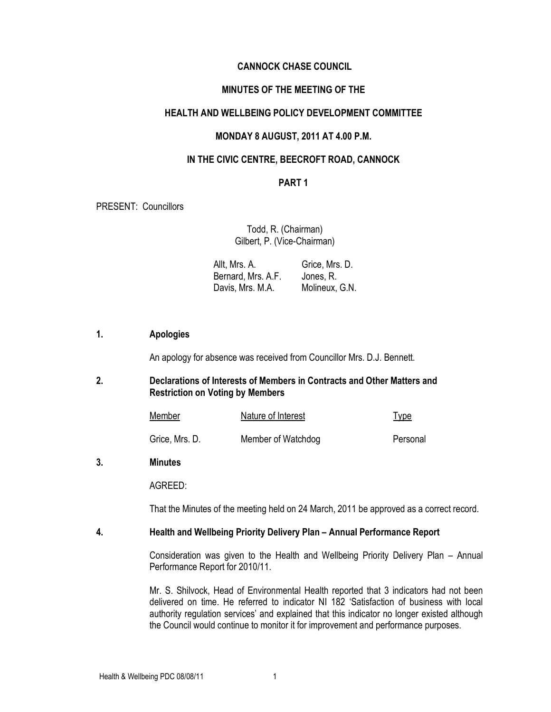## CANNOCK CHASE COUNCIL

# MINUTES OF THE MEETING OF THE

## HEALTH AND WELLBEING POLICY DEVELOPMENT COMMITTEE

## MONDAY 8 AUGUST, 2011 AT 4.00 P.M.

## IN THE CIVIC CENTRE, BEECROFT ROAD, CANNOCK

# PART 1

PRESENT: Councillors

Todd, R. (Chairman) Gilbert, P. (Vice-Chairman)

 Allt, Mrs. A. Bernard, Mrs. A.F. Davis, Mrs. M.A. Grice, Mrs. D. Jones, R. Molineux, G.N.

## 1. Apologies

An apology for absence was received from Councillor Mrs. D.J. Bennett.

## 2. Declarations of Interests of Members in Contracts and Other Matters and Restriction on Voting by Members

| Member         | Nature of Interest | <b>Type</b> |
|----------------|--------------------|-------------|
| Grice, Mrs. D. | Member of Watchdog | Personal    |

#### 3. Minutes

AGREED:

That the Minutes of the meeting held on 24 March, 2011 be approved as a correct record.

#### 4. Health and Wellbeing Priority Delivery Plan – Annual Performance Report

 Consideration was given to the Health and Wellbeing Priority Delivery Plan – Annual Performance Report for 2010/11.

 Mr. S. Shilvock, Head of Environmental Health reported that 3 indicators had not been delivered on time. He referred to indicator NI 182 'Satisfaction of business with local authority regulation services' and explained that this indicator no longer existed although the Council would continue to monitor it for improvement and performance purposes.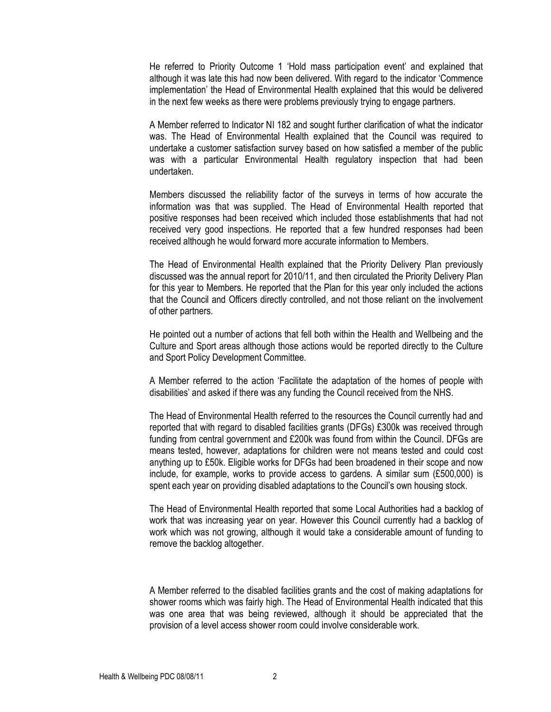He referred to Priority Outcome 1 'Hold mass participation event' and explained that although it was late this had now been delivered. With regard to the indicator 'Commence implementation' the Head of Environmental Health explained that this would be delivered in the next few weeks as there were problems previously trying to engage partners.

 A Member referred to Indicator NI 182 and sought further clarification of what the indicator was. The Head of Environmental Health explained that the Council was required to undertake a customer satisfaction survey based on how satisfied a member of the public was with a particular Environmental Health regulatory inspection that had been undertaken.

 Members discussed the reliability factor of the surveys in terms of how accurate the information was that was supplied. The Head of Environmental Health reported that positive responses had been received which included those establishments that had not received very good inspections. He reported that a few hundred responses had been received although he would forward more accurate information to Members.

 The Head of Environmental Health explained that the Priority Delivery Plan previously discussed was the annual report for 2010/11, and then circulated the Priority Delivery Plan for this year to Members. He reported that the Plan for this year only included the actions that the Council and Officers directly controlled, and not those reliant on the involvement of other partners.

 He pointed out a number of actions that fell both within the Health and Wellbeing and the Culture and Sport areas although those actions would be reported directly to the Culture and Sport Policy Development Committee.

 A Member referred to the action 'Facilitate the adaptation of the homes of people with disabilities' and asked if there was any funding the Council received from the NHS.

 The Head of Environmental Health referred to the resources the Council currently had and reported that with regard to disabled facilities grants (DFGs) £300k was received through funding from central government and £200k was found from within the Council. DFGs are means tested, however, adaptations for children were not means tested and could cost anything up to £50k. Eligible works for DFGs had been broadened in their scope and now include, for example, works to provide access to gardens. A similar sum (£500,000) is spent each year on providing disabled adaptations to the Council's own housing stock.

 The Head of Environmental Health reported that some Local Authorities had a backlog of work that was increasing year on year. However this Council currently had a backlog of work which was not growing, although it would take a considerable amount of funding to remove the backlog altogether.

 A Member referred to the disabled facilities grants and the cost of making adaptations for shower rooms which was fairly high. The Head of Environmental Health indicated that this was one area that was being reviewed, although it should be appreciated that the provision of a level access shower room could involve considerable work.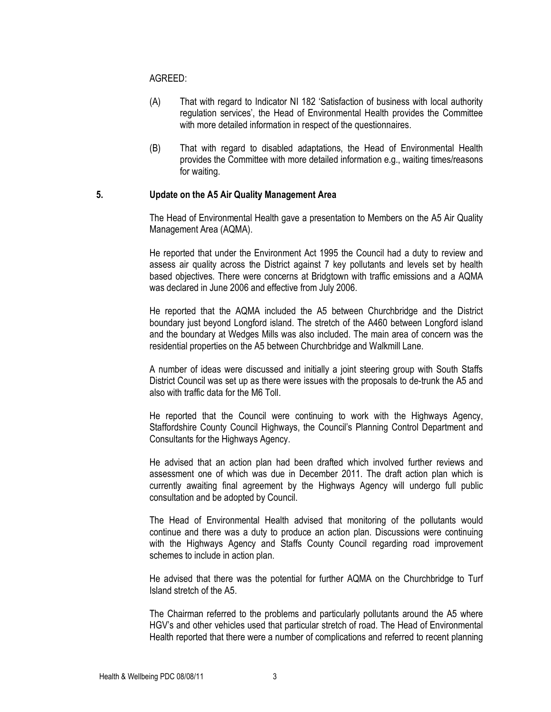AGREED:

- (A) That with regard to Indicator NI 182 'Satisfaction of business with local authority regulation services', the Head of Environmental Health provides the Committee with more detailed information in respect of the questionnaires.
- (B) That with regard to disabled adaptations, the Head of Environmental Health provides the Committee with more detailed information e.g., waiting times/reasons for waiting.

# 5. Update on the A5 Air Quality Management Area

 The Head of Environmental Health gave a presentation to Members on the A5 Air Quality Management Area (AQMA).

 He reported that under the Environment Act 1995 the Council had a duty to review and assess air quality across the District against 7 key pollutants and levels set by health based objectives. There were concerns at Bridgtown with traffic emissions and a AQMA was declared in June 2006 and effective from July 2006.

He reported that the AQMA included the A5 between Churchbridge and the District boundary just beyond Longford island. The stretch of the A460 between Longford island and the boundary at Wedges Mills was also included. The main area of concern was the residential properties on the A5 between Churchbridge and Walkmill Lane.

A number of ideas were discussed and initially a joint steering group with South Staffs District Council was set up as there were issues with the proposals to de-trunk the A5 and also with traffic data for the M6 Toll.

 He reported that the Council were continuing to work with the Highways Agency, Staffordshire County Council Highways, the Council's Planning Control Department and Consultants for the Highways Agency.

He advised that an action plan had been drafted which involved further reviews and assessment one of which was due in December 2011. The draft action plan which is currently awaiting final agreement by the Highways Agency will undergo full public consultation and be adopted by Council.

 The Head of Environmental Health advised that monitoring of the pollutants would continue and there was a duty to produce an action plan. Discussions were continuing with the Highways Agency and Staffs County Council regarding road improvement schemes to include in action plan.

 He advised that there was the potential for further AQMA on the Churchbridge to Turf Island stretch of the A5.

 The Chairman referred to the problems and particularly pollutants around the A5 where HGV's and other vehicles used that particular stretch of road. The Head of Environmental Health reported that there were a number of complications and referred to recent planning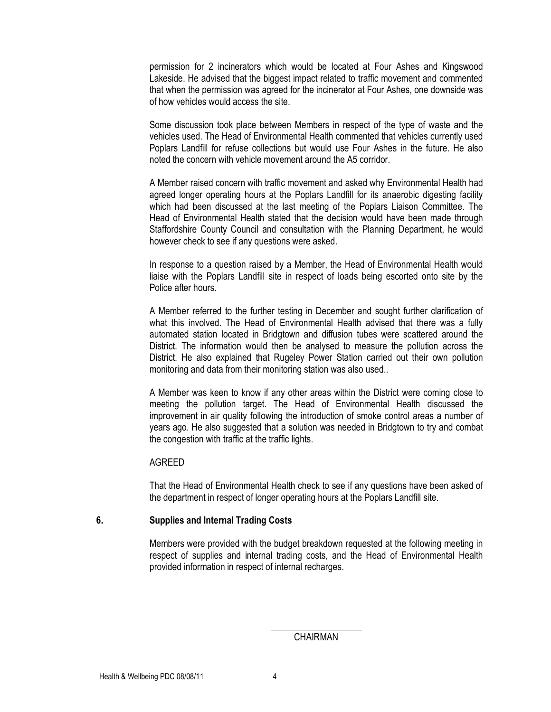permission for 2 incinerators which would be located at Four Ashes and Kingswood Lakeside. He advised that the biggest impact related to traffic movement and commented that when the permission was agreed for the incinerator at Four Ashes, one downside was of how vehicles would access the site.

 Some discussion took place between Members in respect of the type of waste and the vehicles used. The Head of Environmental Health commented that vehicles currently used Poplars Landfill for refuse collections but would use Four Ashes in the future. He also noted the concern with vehicle movement around the A5 corridor.

 A Member raised concern with traffic movement and asked why Environmental Health had agreed longer operating hours at the Poplars Landfill for its anaerobic digesting facility which had been discussed at the last meeting of the Poplars Liaison Committee. The Head of Environmental Health stated that the decision would have been made through Staffordshire County Council and consultation with the Planning Department, he would however check to see if any questions were asked.

 In response to a question raised by a Member, the Head of Environmental Health would liaise with the Poplars Landfill site in respect of loads being escorted onto site by the Police after hours.

 A Member referred to the further testing in December and sought further clarification of what this involved. The Head of Environmental Health advised that there was a fully automated station located in Bridgtown and diffusion tubes were scattered around the District. The information would then be analysed to measure the pollution across the District. He also explained that Rugeley Power Station carried out their own pollution monitoring and data from their monitoring station was also used..

 A Member was keen to know if any other areas within the District were coming close to meeting the pollution target. The Head of Environmental Health discussed the improvement in air quality following the introduction of smoke control areas a number of years ago. He also suggested that a solution was needed in Bridgtown to try and combat the congestion with traffic at the traffic lights.

#### AGREED

 That the Head of Environmental Health check to see if any questions have been asked of the department in respect of longer operating hours at the Poplars Landfill site.

## 6. Supplies and Internal Trading Costs

 Members were provided with the budget breakdown requested at the following meeting in respect of supplies and internal trading costs, and the Head of Environmental Health provided information in respect of internal recharges.

 $\overline{a}$ 

CHAIRMAN